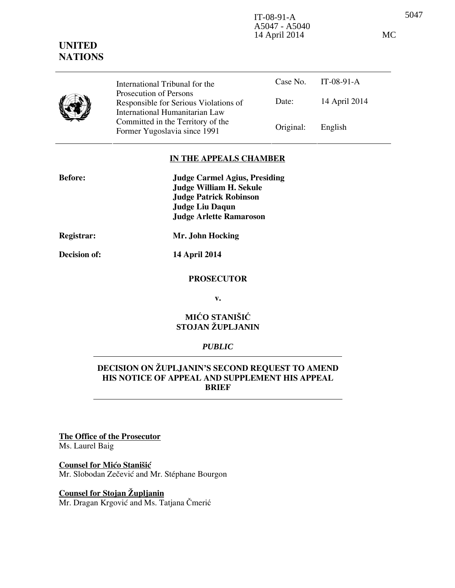5047 IT-08-91-A A5047 - A5040 14 April 2014 MC

Case No. IT-08-91-A

#### Date: 14 April 2014 Responsible for Serious Violations of International Humanitarian Law Committed in the Territory of the Former Yugoslavia since 1991 Original: English

#### **IN THE APPEALS CHAMBER**

| <b>Before:</b> | <b>Judge Carmel Agius, Presiding</b> |
|----------------|--------------------------------------|
|                | <b>Judge William H. Sekule</b>       |
|                | <b>Judge Patrick Robinson</b>        |
|                | <b>Judge Liu Daqun</b>               |
|                | <b>Judge Arlette Ramaroson</b>       |
|                |                                      |

International Tribunal for the Prosecution of Persons

**UNITED NATIONS**

**Registrar: Mr. John Hocking** 

# **Decision of: 14 April 2014**

**PROSECUTOR** 

**v.** 

# **MIĆO STANIŠIĆ STOJAN ŽUPLJANIN**

#### *PUBLIC*

# **DECISION ON ŽUPLJANIN'S SECOND REQUEST TO AMEND HIS NOTICE OF APPEAL AND SUPPLEMENT HIS APPEAL BRIEF**

**The Office of the Prosecutor** Ms. Laurel Baig

# **Counsel for Mićo Stanišić**

Mr. Slobodan Zečević and Mr. Stéphane Bourgon

# **Counsel for Stojan Župljanin**

Mr. Dragan Krgović and Ms. Tatjana Čmerić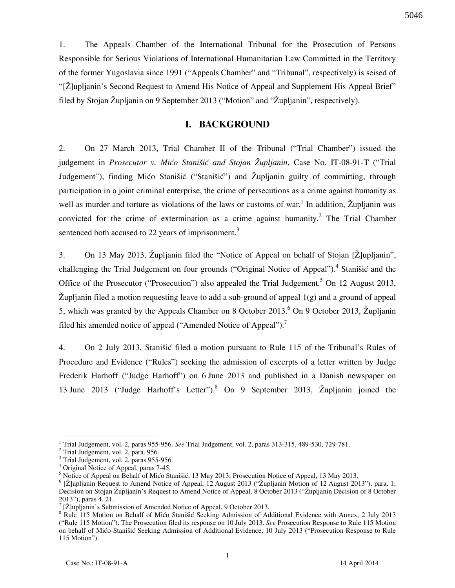1. The Appeals Chamber of the International Tribunal for the Prosecution of Persons Responsible for Serious Violations of International Humanitarian Law Committed in the Territory of the former Yugoslavia since 1991 ("Appeals Chamber" and "Tribunal", respectively) is seised of "[Ž]upljanin's Second Request to Amend His Notice of Appeal and Supplement His Appeal Brief" filed by Stojan Župljanin on 9 September 2013 ("Motion" and "Župljanin", respectively).

# **I. BACKGROUND**

2. On 27 March 2013, Trial Chamber II of the Tribunal ("Trial Chamber") issued the judgement in *Prosecutor v. Mićo Stanišić and Stojan Župljanin*, Case No. IT-08-91-T ("Trial Judgement"), finding Mićo Stanišić ("Stanišić") and Župljanin guilty of committing, through participation in a joint criminal enterprise, the crime of persecutions as a crime against humanity as well as murder and torture as violations of the laws or customs of war.<sup>1</sup> In addition, Župljanin was convicted for the crime of extermination as a crime against humanity.<sup>2</sup> The Trial Chamber sentenced both accused to 22 years of imprisonment. $3$ 

3. On 13 May 2013, Župljanin filed the "Notice of Appeal on behalf of Stojan [Ž]upljanin", challenging the Trial Judgement on four grounds ("Original Notice of Appeal").<sup>4</sup> Stanišić and the Office of the Prosecutor ("Prosecution") also appealed the Trial Judgement.<sup>5</sup> On 12 August 2013,  $\tilde{Z}$ upljanin filed a motion requesting leave to add a sub-ground of appeal  $1(g)$  and a ground of appeal 5, which was granted by the Appeals Chamber on 8 October 2013. <sup>6</sup> On 9 October 2013, Župljanin filed his amended notice of appeal ("Amended Notice of Appeal").<sup>7</sup>

4. On 2 July 2013, Stanišić filed a motion pursuant to Rule 115 of the Tribunal's Rules of Procedure and Evidence ("Rules") seeking the admission of excerpts of a letter written by Judge Frederik Harhoff ("Judge Harhoff") on 6 June 2013 and published in a Danish newspaper on 13 June 2013 ("Judge Harhoff's Letter").<sup>8</sup> On 9 September 2013, Župljanin joined the

 $\overline{a}$ 

5046

<sup>1</sup> Trial Judgement, vol. 2, paras 955-956. *See* Trial Judgement, vol. 2, paras 313-315, 489-530, 729-781.

<sup>2</sup> Trial Judgement, vol. 2, para. 956.

<sup>&</sup>lt;sup>3</sup> Trial Judgement, vol. 2, paras 955-956.

<sup>4</sup> Original Notice of Appeal, paras 7-45.

<sup>&</sup>lt;sup>5</sup> Notice of Appeal on Behalf of Mićo Stanišić, 13 May 2013; Prosecution Notice of Appeal, 13 May 2013.

<sup>&</sup>lt;sup>6</sup> [Ž]upljanin Request to Amend Notice of Appeal, 12 August 2013 ("Župljanin Motion of 12 August 2013"), para. 1; Decision on Stojan Župljanin's Request to Amend Notice of Appeal, 8 October 2013 ("Župljanin Decision of 8 October 2013"), paras 4, 21.

<sup>7</sup> [Ž]upljanin's Submission of Amended Notice of Appeal, 9 October 2013.

<sup>&</sup>lt;sup>8</sup> Rule 115 Motion on Behalf of Mićo Stanišić Seeking Admission of Additional Evidence with Annex, 2 July 2013 ("Rule 115 Motion"). The Prosecution filed its response on 10 July 2013. *See* Prosecution Response to Rule 115 Motion on behalf of Mićo Stanišić Seeking Admission of Additional Evidence, 10 July 2013 ("Prosecution Response to Rule 115 Motion").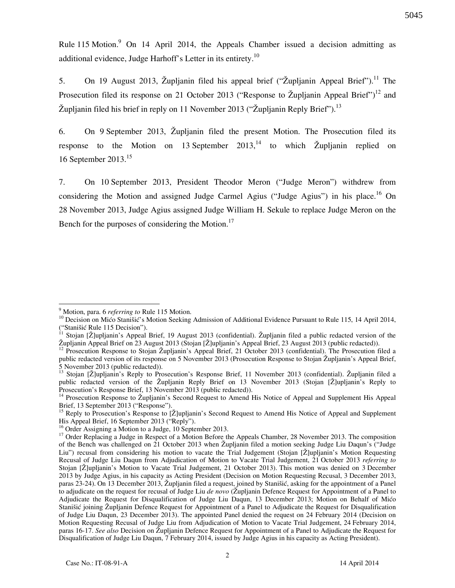Rule 115 Motion.<sup>9</sup> On 14 April 2014, the Appeals Chamber issued a decision admitting as additional evidence, Judge Harhoff's Letter in its entirety.<sup>10</sup>

5. On 19 August 2013, Župljanin filed his appeal brief ("Župljanin Appeal Brief").<sup>11</sup> The Prosecution filed its response on 21 October 2013 ("Response to Župljanin Appeal Brief")<sup>12</sup> and  $\check{Z}$ upljanin filed his brief in reply on 11 November 2013 (" $\check{Z}$ upljanin Reply Brief").<sup>13</sup>

6. On 9 September 2013, Župljanin filed the present Motion. The Prosecution filed its response to the Motion on 13 September  $2013$ ,<sup>14</sup> to which  $\check{Z}$ upljanin replied on 16 September 2013.<sup>15</sup>

7. On 10 September 2013, President Theodor Meron ("Judge Meron") withdrew from considering the Motion and assigned Judge Carmel Agius ("Judge Agius") in his place.<sup>16</sup> On 28 November 2013, Judge Agius assigned Judge William H. Sekule to replace Judge Meron on the Bench for the purposes of considering the Motion. $^{17}$ 

5045

 9 Motion, para. 6 *referring to* Rule 115 Motion.

<sup>&</sup>lt;sup>10</sup> Decision on Mićo Stanišić's Motion Seeking Admission of Additional Evidence Pursuant to Rule 115, 14 April 2014, ("Stanišić Rule 115 Decision").

 $11$  Stojan [Ž]upljanin's Appeal Brief, 19 August 2013 (confidential). Župljanin filed a public redacted version of the  $\check{Z}$ upljanin Appeal Brief on 23 August 2013 (Stojan  $[\check{Z}]$ upljanin's Appeal Brief, 23 August 2013 (public redacted)).

<sup>&</sup>lt;sup>12</sup> Prosecution Response to Stojan Župljanin's Appeal Brief, 21 October 2013 (confidential). The Prosecution filed a public redacted version of its response on 5 November 2013 (Prosecution Response to Stojan Župljanin's Appeal Brief, 5 November 2013 (public redacted)).

<sup>&</sup>lt;sup>13</sup> Stojan [Ž]upljanin's Reply to Prosecution's Response Brief, 11 November 2013 (confidential). Župljanin filed a public redacted version of the Župljanin Reply Brief on 13 November 2013 (Stojan [Ž]upljanin's Reply to Prosecution's Response Brief, 13 November 2013 (public redacted)).

<sup>&</sup>lt;sup>14</sup> Prosecution Response to Župljanin's Second Request to Amend His Notice of Appeal and Supplement His Appeal Brief, 13 September 2013 ("Response").

<sup>&</sup>lt;sup>15</sup> Reply to Prosecution's Response to [Ž]upljanin's Second Request to Amend His Notice of Appeal and Supplement His Appeal Brief, 16 September 2013 ("Reply").

<sup>&</sup>lt;sup>16</sup> Order Assigning a Motion to a Judge, 10 September 2013.

<sup>&</sup>lt;sup>17</sup> Order Replacing a Judge in Respect of a Motion Before the Appeals Chamber, 28 November 2013. The composition of the Bench was challenged on 21 October 2013 when Župljanin filed a motion seeking Judge Liu Daqun's ("Judge Liu") recusal from considering his motion to vacate the Trial Judgement (Stojan [Ž]upljanin's Motion Requesting Recusal of Judge Liu Daqun from Adjudication of Motion to Vacate Trial Judgement, 21 October 2013 *referring to*  Stojan [Ž]upljanin's Motion to Vacate Trial Judgement, 21 October 2013). This motion was denied on 3 December 2013 by Judge Agius, in his capacity as Acting President (Decision on Motion Requesting Recusal, 3 December 2013, paras 23-24). On 13 December 2013, Župljanin filed a request, joined by Stanišić, asking for the appointment of a Panel to adjudicate on the request for recusal of Judge Liu *de novo* (Župljanin Defence Request for Appointment of a Panel to Adjudicate the Request for Disqualification of Judge Liu Daqun, 13 December 2013; Motion on Behalf of Mićo Stanišić joining Župljanin Defence Request for Appointment of a Panel to Adjudicate the Request for Disqualification of Judge Liu Daqun, 23 December 2013). The appointed Panel denied the request on 24 February 2014 (Decision on Motion Requesting Recusal of Judge Liu from Adjudication of Motion to Vacate Trial Judgement, 24 February 2014, paras 16-17. *See also* Decision on Župljanin Defence Request for Appointment of a Panel to Adjudicate the Request for Disqualification of Judge Liu Daqun, 7 February 2014, issued by Judge Agius in his capacity as Acting President).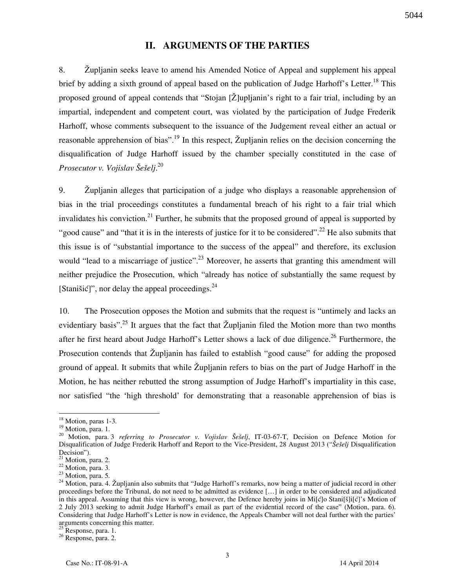# **II. ARGUMENTS OF THE PARTIES**

8. Župljanin seeks leave to amend his Amended Notice of Appeal and supplement his appeal brief by adding a sixth ground of appeal based on the publication of Judge Harhoff's Letter.<sup>18</sup> This proposed ground of appeal contends that "Stojan [Ž]upljanin's right to a fair trial, including by an impartial, independent and competent court, was violated by the participation of Judge Frederik Harhoff, whose comments subsequent to the issuance of the Judgement reveal either an actual or reasonable apprehension of bias".<sup>19</sup> In this respect, Župljanin relies on the decision concerning the disqualification of Judge Harhoff issued by the chamber specially constituted in the case of *Prosecutor v. Vojislav Šešelj*. 20

9. Župljanin alleges that participation of a judge who displays a reasonable apprehension of bias in the trial proceedings constitutes a fundamental breach of his right to a fair trial which invalidates his conviction.<sup>21</sup> Further, he submits that the proposed ground of appeal is supported by "good cause" and "that it is in the interests of justice for it to be considered".<sup>22</sup> He also submits that this issue is of "substantial importance to the success of the appeal" and therefore, its exclusion would "lead to a miscarriage of justice".<sup>23</sup> Moreover, he asserts that granting this amendment will neither prejudice the Prosecution, which "already has notice of substantially the same request by [Stanišić]", nor delay the appeal proceedings. $24$ 

10. The Prosecution opposes the Motion and submits that the request is "untimely and lacks an evidentiary basis".<sup>25</sup> It argues that the fact that  $\check{Z}$ upljanin filed the Motion more than two months after he first heard about Judge Harhoff's Letter shows a lack of due diligence.<sup>26</sup> Furthermore, the Prosecution contends that Župljanin has failed to establish "good cause" for adding the proposed ground of appeal. It submits that while Župljanin refers to bias on the part of Judge Harhoff in the Motion, he has neither rebutted the strong assumption of Judge Harhoff's impartiality in this case, nor satisfied "the 'high threshold' for demonstrating that a reasonable apprehension of bias is

<sup>&</sup>lt;sup>18</sup> Motion, paras 1-3.

<sup>&</sup>lt;sup>19</sup> Motion, para. 1.

<sup>20</sup> Motion, para. 3 *referring to Prosecutor v. Vojislav Šešelj*, IT-03-67-T, Decision on Defence Motion for Disqualification of Judge Frederik Harhoff and Report to the Vice-President, 28 August 2013 ("*Šešelj* Disqualification Decision").

<sup>&</sup>lt;sup>21</sup> Motion, para. 2.

 $22$  Motion, para. 3.

<sup>&</sup>lt;sup>23</sup> Motion, para. 5.

 $^{24}$  Motion, para. 4. Župljanin also submits that "Judge Harhoff's remarks, now being a matter of judicial record in other proceedings before the Tribunal, do not need to be admitted as evidence [...] in order to be considered and adjudicated in this appeal. Assuming that this view is wrong, however, the Defence hereby joins in Mi[ć]o Stani[š]i[ć]'s Motion of 2 July 2013 seeking to admit Judge Harhoff's email as part of the evidential record of the case" (Motion, para. 6). Considering that Judge Harhoff's Letter is now in evidence, the Appeals Chamber will not deal further with the parties' arguments concerning this matter.

<sup>&</sup>lt;sup>25</sup> Response, para. 1.

<sup>26</sup> Response, para. 2.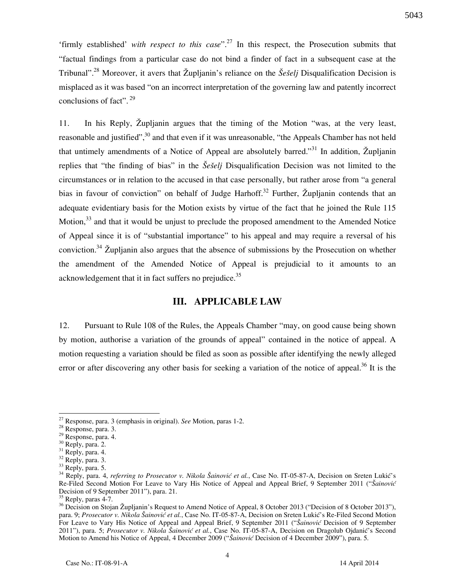'firmly established' *with respect to this case*".<sup>27</sup> In this respect, the Prosecution submits that "factual findings from a particular case do not bind a finder of fact in a subsequent case at the Tribunal"<sup>28</sup> Moreover, it avers that Župljanin's reliance on the *Šešelj* Disqualification Decision is misplaced as it was based "on an incorrect interpretation of the governing law and patently incorrect conclusions of fact".  $29$ 

11. In his Reply, Župljanin argues that the timing of the Motion "was, at the very least, reasonable and justified",<sup>30</sup> and that even if it was unreasonable, "the Appeals Chamber has not held that untimely amendments of a Notice of Appeal are absolutely barred."<sup>31</sup> In addition,  $\check{Z}$ upljanin replies that "the finding of bias" in the *Šešelj* Disqualification Decision was not limited to the circumstances or in relation to the accused in that case personally, but rather arose from "a general bias in favour of conviction" on behalf of Judge Harhoff.<sup>32</sup> Further, Župljanin contends that an adequate evidentiary basis for the Motion exists by virtue of the fact that he joined the Rule 115 Motion,<sup>33</sup> and that it would be unjust to preclude the proposed amendment to the Amended Notice of Appeal since it is of "substantial importance" to his appeal and may require a reversal of his conviction.<sup>34</sup> Zupljanin also argues that the absence of submissions by the Prosecution on whether the amendment of the Amended Notice of Appeal is prejudicial to it amounts to an acknowledgement that it in fact suffers no prejudice.<sup>35</sup>

## **III. APPLICABLE LAW**

12. Pursuant to Rule 108 of the Rules, the Appeals Chamber "may, on good cause being shown by motion, authorise a variation of the grounds of appeal" contained in the notice of appeal. A motion requesting a variation should be filed as soon as possible after identifying the newly alleged error or after discovering any other basis for seeking a variation of the notice of appeal.<sup>36</sup> It is the

<sup>27</sup> Response, para. 3 (emphasis in original). *See* Motion, paras 1-2.

<sup>28</sup> Response, para. 3.

<sup>29</sup> Response, para. 4.

<sup>30</sup> Reply, para. 2.

<sup>&</sup>lt;sup>31</sup> Reply, para. 4.

<sup>&</sup>lt;sup>32</sup> Reply, para. 3.

<sup>&</sup>lt;sup>33</sup> Reply, para. 5.

<sup>&</sup>lt;sup>34</sup> Reply, para. 4, *referring to Prosecutor v. Nikola Šainović et al.*, Case No. IT-05-87-A, Decision on Sreten Lukić's Re-Filed Second Motion For Leave to Vary His Notice of Appeal and Appeal Brief, 9 September 2011 ("*Šainović*  Decision of 9 September 2011"), para. 21.

<sup>&</sup>lt;sup>35</sup> Reply, paras 4-7.

<sup>&</sup>lt;sup>36</sup> Decision on Stojan Župljanin's Request to Amend Notice of Appeal, 8 October 2013 ("Decision of 8 October 2013"), para. 9; *Prosecutor v. Nikola Šainović et al.*, Case No. IT-05-87-A, Decision on Sreten Lukić's Re-Filed Second Motion For Leave to Vary His Notice of Appeal and Appeal Brief, 9 September 2011 ("*Šainović* Decision of 9 September 2011"), para. 5; *Prosecutor v. Nikola Šainović et al.*, Case No. IT-05-87-A, Decision on Dragolub Ojdanić's Second Motion to Amend his Notice of Appeal, 4 December 2009 ("*Šainović* Decision of 4 December 2009"), para. 5.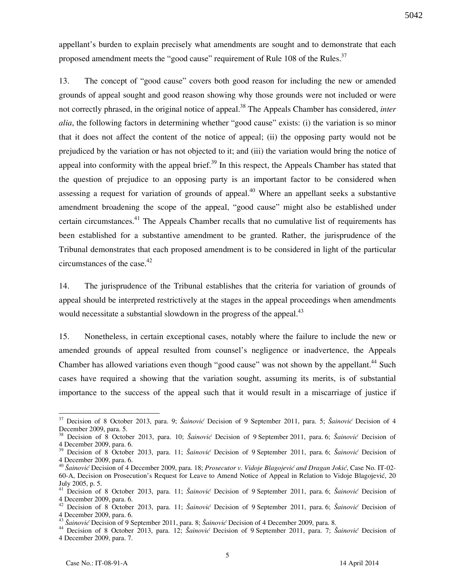appellant's burden to explain precisely what amendments are sought and to demonstrate that each proposed amendment meets the "good cause" requirement of Rule 108 of the Rules.<sup>37</sup>

13. The concept of "good cause" covers both good reason for including the new or amended grounds of appeal sought and good reason showing why those grounds were not included or were not correctly phrased, in the original notice of appeal.<sup>38</sup> The Appeals Chamber has considered, *inter alia*, the following factors in determining whether "good cause" exists: (i) the variation is so minor that it does not affect the content of the notice of appeal; (ii) the opposing party would not be prejudiced by the variation or has not objected to it; and (iii) the variation would bring the notice of appeal into conformity with the appeal brief.<sup>39</sup> In this respect, the Appeals Chamber has stated that the question of prejudice to an opposing party is an important factor to be considered when assessing a request for variation of grounds of appeal.<sup>40</sup> Where an appellant seeks a substantive amendment broadening the scope of the appeal, "good cause" might also be established under certain circumstances.<sup>41</sup> The Appeals Chamber recalls that no cumulative list of requirements has been established for a substantive amendment to be granted. Rather, the jurisprudence of the Tribunal demonstrates that each proposed amendment is to be considered in light of the particular circumstances of the case. $42$ 

14. The jurisprudence of the Tribunal establishes that the criteria for variation of grounds of appeal should be interpreted restrictively at the stages in the appeal proceedings when amendments would necessitate a substantial slowdown in the progress of the appeal. $43$ 

15. Nonetheless, in certain exceptional cases, notably where the failure to include the new or amended grounds of appeal resulted from counsel's negligence or inadvertence, the Appeals Chamber has allowed variations even though "good cause" was not shown by the appellant.<sup>44</sup> Such cases have required a showing that the variation sought, assuming its merits, is of substantial importance to the success of the appeal such that it would result in a miscarriage of justice if

<sup>&</sup>lt;sup>37</sup> Decision of 8 October 2013, para. 9; Šainović Decision of 9 September 2011, para. 5; Šainović Decision of 4 December 2009, para. 5.

<sup>38</sup> Decision of 8 October 2013, para. 10; *Šainović* Decision of 9 September 2011, para. 6; *Šainović* Decision of 4 December 2009, para. 6.

<sup>39</sup> Decision of 8 October 2013, para. 11; *Šainović* Decision of 9 September 2011, para. 6; *Šainović* Decision of 4 December 2009, para. 6.

<sup>40</sup> *Šainović* Decision of 4 December 2009, para. 18; *Prosecutor v. Vidoje Blagojević and Dragan Jokić*, Case No. IT-02- 60-A, Decision on Prosecution's Request for Leave to Amend Notice of Appeal in Relation to Vidoje Blagojević, 20 July 2005, p. 5.

<sup>41</sup> Decision of 8 October 2013, para. 11; *Šainović* Decision of 9 September 2011, para. 6; *Šainović* Decision of 4 December 2009, para. 6.

<sup>42</sup> Decision of 8 October 2013, para. 11; *Šainović* Decision of 9 September 2011, para. 6; *Šainović* Decision of 4 December 2009, para. 6.

<sup>43</sup> *Šainović* Decision of 9 September 2011, para. 8; *Šainović* Decision of 4 December 2009, para. 8.

<sup>44</sup> Decision of 8 October 2013, para. 12; *Šainović* Decision of 9 September 2011, para. 7; *Šainović* Decision of 4 December 2009, para. 7.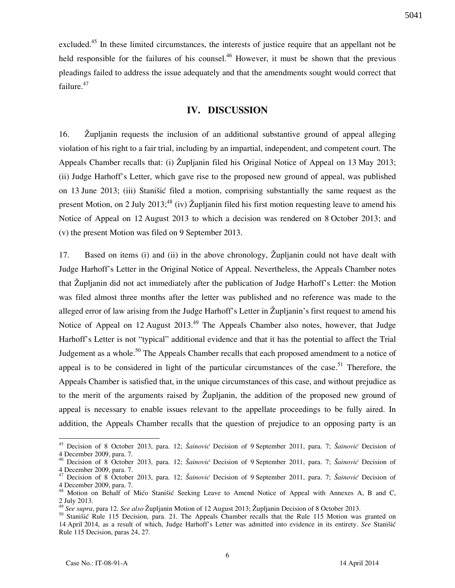excluded.<sup>45</sup> In these limited circumstances, the interests of justice require that an appellant not be held responsible for the failures of his counsel.<sup>46</sup> However, it must be shown that the previous

pleadings failed to address the issue adequately and that the amendments sought would correct that failure.<sup>47</sup>

## **IV. DISCUSSION**

16. Župljanin requests the inclusion of an additional substantive ground of appeal alleging violation of his right to a fair trial, including by an impartial, independent, and competent court. The Appeals Chamber recalls that: (i) Župljanin filed his Original Notice of Appeal on 13 May 2013; (ii) Judge Harhoff's Letter, which gave rise to the proposed new ground of appeal, was published on 13 June 2013; (iii) Stanišić filed a motion, comprising substantially the same request as the present Motion, on 2 July 2013;<sup>48</sup> (iv) Župljanin filed his first motion requesting leave to amend his Notice of Appeal on 12 August 2013 to which a decision was rendered on 8 October 2013; and (v) the present Motion was filed on 9 September 2013.

17. Based on items (i) and (ii) in the above chronology, Župljanin could not have dealt with Judge Harhoff's Letter in the Original Notice of Appeal. Nevertheless, the Appeals Chamber notes that Župljanin did not act immediately after the publication of Judge Harhoff's Letter: the Motion was filed almost three months after the letter was published and no reference was made to the alleged error of law arising from the Judge Harhoff's Letter in Župljanin's first request to amend his Notice of Appeal on 12 August  $2013<sup>49</sup>$  The Appeals Chamber also notes, however, that Judge Harhoff's Letter is not "typical" additional evidence and that it has the potential to affect the Trial Judgement as a whole.<sup>50</sup> The Appeals Chamber recalls that each proposed amendment to a notice of appeal is to be considered in light of the particular circumstances of the case.<sup>51</sup> Therefore, the Appeals Chamber is satisfied that, in the unique circumstances of this case, and without prejudice as to the merit of the arguments raised by  $\check{Z}$ upljanin, the addition of the proposed new ground of appeal is necessary to enable issues relevant to the appellate proceedings to be fully aired. In addition, the Appeals Chamber recalls that the question of prejudice to an opposing party is an

<sup>45</sup> Decision of 8 October 2013, para. 12; *Šainović* Decision of 9 September 2011, para. 7; *Šainović* Decision of 4 December 2009, para. 7.

<sup>46</sup> Decision of 8 October 2013, para. 12; *Šainović* Decision of 9 September 2011, para. 7; *Šainović* Decision of 4 December 2009, para. 7.

<sup>47</sup> Decision of 8 October 2013, para. 12; *Šainović* Decision of 9 September 2011, para. 7; *Šainović* Decision of 4 December 2009, para. 7.

<sup>&</sup>lt;sup>48</sup> Motion on Behalf of Mićo Stanišić Seeking Leave to Amend Notice of Appeal with Annexes A, B and C, 2 July 2013.

<sup>&</sup>lt;sup>49</sup> See supra, para 12. See also Župljanin Motion of 12 August 2013; Župljanin Decision of 8 October 2013.

<sup>50</sup> Stanišić Rule 115 Decision, para. 21. The Appeals Chamber recalls that the Rule 115 Motion was granted on 14 April 2014, as a result of which, Judge Harhoff's Letter was admitted into evidence in its entirety. See Stanišić Rule 115 Decision, paras 24, 27.